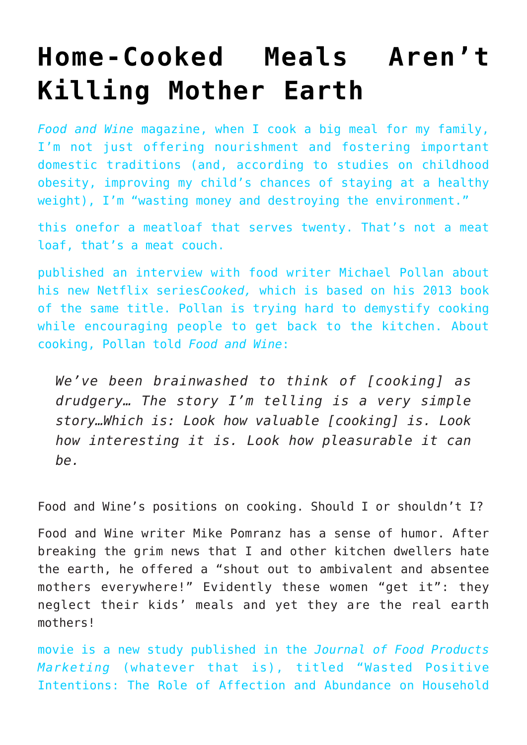## **[Home-Cooked Meals Aren't](https://intellectualtakeout.org/2016/06/home-cooked-meals-arent-killing-mother-earth/) [Killing Mother Earth](https://intellectualtakeout.org/2016/06/home-cooked-meals-arent-killing-mother-earth/)**

*[Food and Wine](http://www.foodandwine.com/fwx/food/loving-mothers-giant-meals-are-major-source-food-waste-says-study)* [magazine](http://www.foodandwine.com/fwx/food/loving-mothers-giant-meals-are-major-source-food-waste-says-study), when I cook a big meal for my family, I'm not just offering nourishment and fostering important domestic traditions (and, [according to studies](http://researchnews.osu.edu/archive/homeroutines.htm) on childhood obesity, improving my child's chances of staying at a healthy weight), I'm "wasting money and destroying the environment."

[this one](http://www.food.com/recipe/food-wines-no-apologies-meatloaf-215513)for a meatloaf that serves twenty. That's not a meat loaf, that's a meat couch.

[published an interview](http://www.foodandwine.com/blogs/michael-pollan-wants-rewrite-narrative-cooking) with food writer Michael Pollan about his new Netflix series*Cooked,* which is based on his 2013 book of the same title. Pollan is trying hard to demystify cooking while encouraging people to get back to the kitchen. About cooking, Pollan told *Food and Wine*:

*We've been brainwashed to think of [cooking] as drudgery… The story I'm telling is a very simple story…Which is: Look how valuable [cooking] is. Look how interesting it is. Look how pleasurable it can be.*

Food and Wine's positions on cooking. Should I or shouldn't I?

Food and Wine writer Mike Pomranz has a sense of humor. After breaking the grim news that I and other kitchen dwellers hate the earth, he offered a "shout out to ambivalent and absentee mothers everywhere!" Evidently these women "get it": they neglect their kids' meals and yet they are the real earth mothers!

[movie](http://www.imdb.com/title/tt0120591/) is a new study published in the *Journal of Food Products Marketing* (whatever that is), titled "[Wasted Positive](http://www.tandfonline.com/doi/abs/10.1080/10454446.2015.1121433?journalCode=wfpm20) [Intentions: The Role of Affection and Abundance on Household](http://www.tandfonline.com/doi/abs/10.1080/10454446.2015.1121433?journalCode=wfpm20)